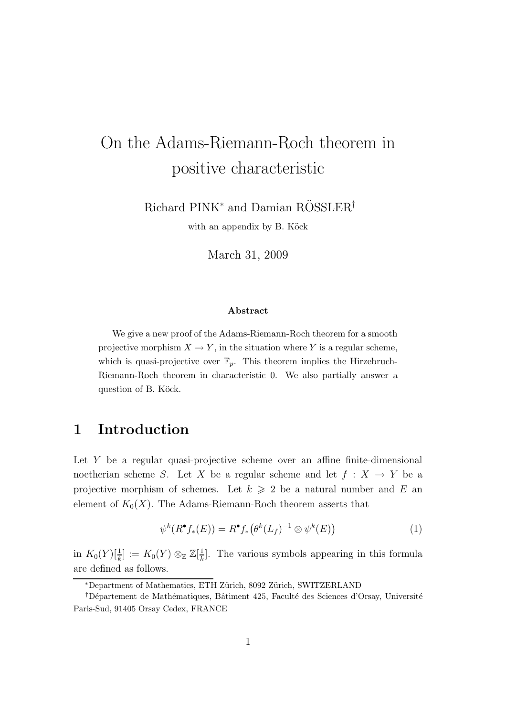# On the Adams-Riemann-Roch theorem in positive characteristic

Richard PINK<sup>∗</sup> and Damian RÖSSLER<sup>†</sup>

with an appendix by B. Köck

March 31, 2009

#### Abstract

We give a new proof of the Adams-Riemann-Roch theorem for a smooth projective morphism  $X \to Y$ , in the situation where Y is a regular scheme, which is quasi-projective over  $\mathbb{F}_p$ . This theorem implies the Hirzebruch-Riemann-Roch theorem in characteristic 0. We also partially answer a question of B. Köck.

## 1 Introduction

Let Y be a regular quasi-projective scheme over an affine finite-dimensional noetherian scheme S. Let X be a regular scheme and let  $f : X \to Y$  be a projective morphism of schemes. Let  $k \geq 2$  be a natural number and E an element of  $K_0(X)$ . The Adams-Riemann-Roch theorem asserts that

$$
\psi^k(R^{\bullet}f_*(E)) = R^{\bullet}f_*\big(\theta^k(L_f)^{-1} \otimes \psi^k(E)\big) \tag{1}
$$

in  $K_0(Y)[\frac{1}{k}] := K_0(Y) \otimes_{\mathbb{Z}} \mathbb{Z}[\frac{1}{k}]$  $\frac{1}{k}$ . The various symbols appearing in this formula are defined as follows.

<sup>∗</sup>Department of Mathematics, ETH Z¨urich, 8092 Z¨urich, SWITZERLAND

<sup>&</sup>lt;sup>†</sup>Département de Mathématiques, Bâtiment 425, Faculté des Sciences d'Orsay, Université Paris-Sud, 91405 Orsay Cedex, FRANCE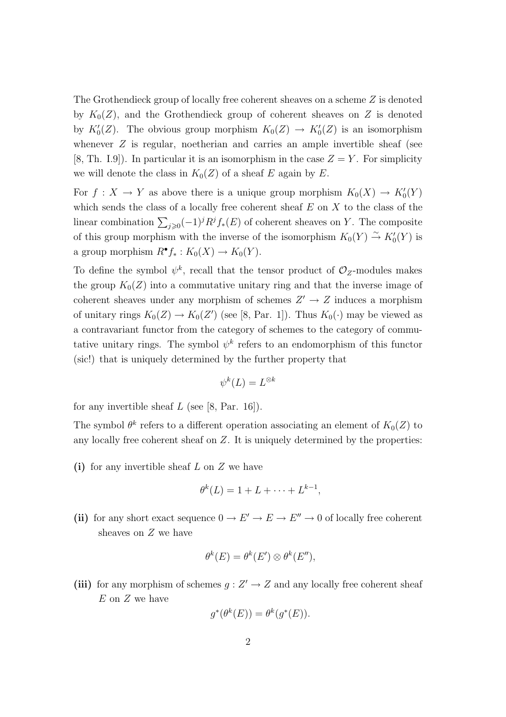The Grothendieck group of locally free coherent sheaves on a scheme Z is denoted by  $K_0(Z)$ , and the Grothendieck group of coherent sheaves on Z is denoted by  $K'_0(Z)$ . The obvious group morphism  $K_0(Z) \to K'_0(Z)$  is an isomorphism whenever Z is regular, noetherian and carries an ample invertible sheaf (see [8, Th. I.9]). In particular it is an isomorphism in the case  $Z = Y$ . For simplicity we will denote the class in  $K_0(Z)$  of a sheaf E again by E.

For  $f: X \to Y$  as above there is a unique group morphism  $K_0(X) \to K'_0(Y)$ which sends the class of a locally free coherent sheaf  $E$  on  $X$  to the class of the linear combination  $\sum_{j\geqslant 0}(-1)^jR^jf_*(E)$  of coherent sheaves on Y. The composite of this group morphism with the inverse of the isomorphism  $K_0(Y) \stackrel{\sim}{\rightarrow} K'_0(Y)$  is a group morphism  $R^{\bullet} f_* : K_0(X) \to K_0(Y)$ .

To define the symbol  $\psi^k$ , recall that the tensor product of  $\mathcal{O}_Z$ -modules makes the group  $K_0(Z)$  into a commutative unitary ring and that the inverse image of coherent sheaves under any morphism of schemes  $Z' \to Z$  induces a morphism of unitary rings  $K_0(Z) \to K_0(Z')$  (see [8, Par. 1]). Thus  $K_0(\cdot)$  may be viewed as a contravariant functor from the category of schemes to the category of commutative unitary rings. The symbol  $\psi^k$  refers to an endomorphism of this functor (sic!) that is uniquely determined by the further property that

$$
\psi^k(L)=L^{\otimes k}
$$

for any invertible sheaf  $L$  (see [8, Par. 16]).

The symbol  $\theta^k$  refers to a different operation associating an element of  $K_0(Z)$  to any locally free coherent sheaf on Z. It is uniquely determined by the properties:

(i) for any invertible sheaf  $L$  on  $Z$  we have

$$
\theta^k(L) = 1 + L + \cdots + L^{k-1},
$$

(ii) for any short exact sequence  $0 \to E' \to E \to E'' \to 0$  of locally free coherent sheaves on Z we have

$$
\theta^k(E) = \theta^k(E') \otimes \theta^k(E''),
$$

(iii) for any morphism of schemes  $g: Z' \to Z$  and any locally free coherent sheaf  $E$  on  $Z$  we have

$$
g^*(\theta^k(E)) = \theta^k(g^*(E)).
$$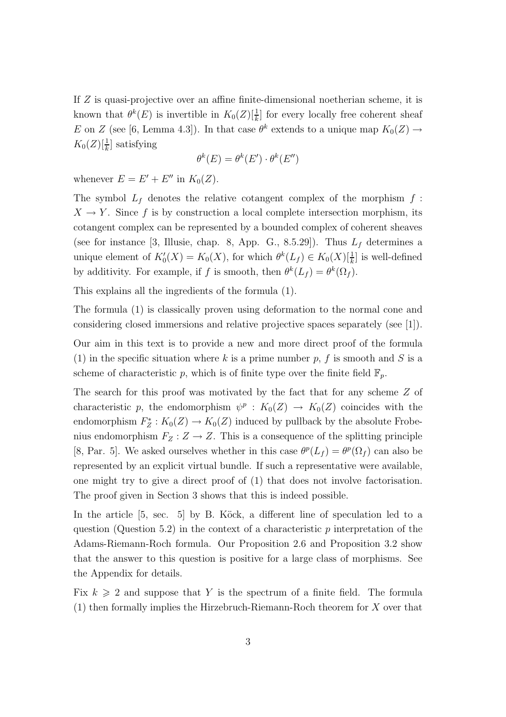If Z is quasi-projective over an affine finite-dimensional noetherian scheme, it is known that  $\theta^k(E)$  is invertible in  $K_0(Z)[\frac{1}{k}]$  for every locally free coherent sheaf E on Z (see [6, Lemma 4.3]). In that case  $\theta^k$  extends to a unique map  $K_0(Z) \to$  $K_0(Z)[\frac{1}{k}]$  satisfying

$$
\theta^k(E) = \theta^k(E') \cdot \theta^k(E'')
$$

whenever  $E = E' + E''$  in  $K_0(Z)$ .

The symbol  $L_f$  denotes the relative cotangent complex of the morphism  $f$ :  $X \to Y$ . Since f is by construction a local complete intersection morphism, its cotangent complex can be represented by a bounded complex of coherent sheaves (see for instance [3, Illusie, chap. 8, App. G., 8.5.29]). Thus  $L_f$  determines a unique element of  $K'_0(X) = K_0(X)$ , for which  $\theta^k(L_f) \in K_0(X)[\frac{1}{k}]$  is well-defined by additivity. For example, if f is smooth, then  $\theta^k(L_f) = \theta^k(\Omega_f)$ .

This explains all the ingredients of the formula (1).

The formula (1) is classically proven using deformation to the normal cone and considering closed immersions and relative projective spaces separately (see [1]).

Our aim in this text is to provide a new and more direct proof of the formula (1) in the specific situation where k is a prime number p, f is smooth and S is a scheme of characteristic p, which is of finite type over the finite field  $\mathbb{F}_p$ .

The search for this proof was motivated by the fact that for any scheme Z of characteristic p, the endomorphism  $\psi^p : K_0(Z) \to K_0(Z)$  coincides with the endomorphism  $F_Z^*$  $Z^*$ :  $K_0(Z) \to K_0(Z)$  induced by pullback by the absolute Frobenius endomorphism  $F_Z : Z \to Z$ . This is a consequence of the splitting principle [8, Par. 5]. We asked ourselves whether in this case  $\theta^p(L_f) = \theta^p(\Omega_f)$  can also be represented by an explicit virtual bundle. If such a representative were available, one might try to give a direct proof of (1) that does not involve factorisation. The proof given in Section 3 shows that this is indeed possible.

In the article  $[5, \text{ sec. } 5]$  by B. Köck, a different line of speculation led to a question (Question 5.2) in the context of a characteristic  $p$  interpretation of the Adams-Riemann-Roch formula. Our Proposition 2.6 and Proposition 3.2 show that the answer to this question is positive for a large class of morphisms. See the Appendix for details.

Fix  $k \geq 2$  and suppose that Y is the spectrum of a finite field. The formula (1) then formally implies the Hirzebruch-Riemann-Roch theorem for X over that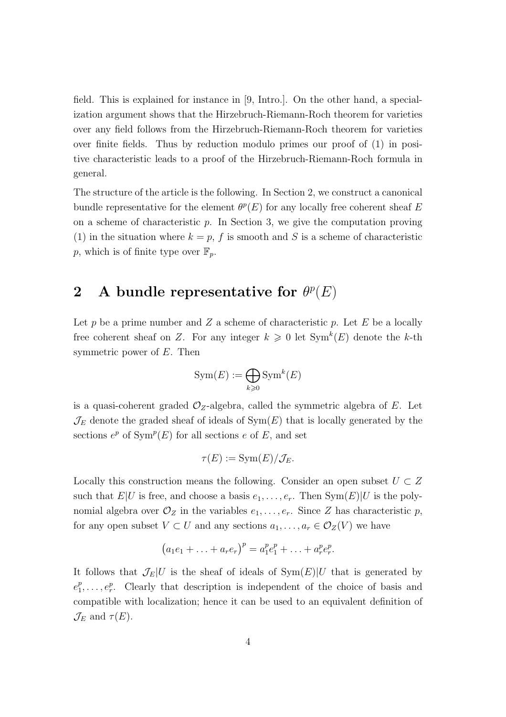field. This is explained for instance in [9, Intro.]. On the other hand, a specialization argument shows that the Hirzebruch-Riemann-Roch theorem for varieties over any field follows from the Hirzebruch-Riemann-Roch theorem for varieties over finite fields. Thus by reduction modulo primes our proof of (1) in positive characteristic leads to a proof of the Hirzebruch-Riemann-Roch formula in general.

The structure of the article is the following. In Section 2, we construct a canonical bundle representative for the element  $\theta^p(E)$  for any locally free coherent sheaf E on a scheme of characteristic  $p$ . In Section 3, we give the computation proving (1) in the situation where  $k = p$ , f is smooth and S is a scheme of characteristic p, which is of finite type over  $\mathbb{F}_p$ .

## 2 A bundle representative for  $\theta^p(E)$

Let p be a prime number and  $Z$  a scheme of characteristic p. Let  $E$  be a locally free coherent sheaf on Z. For any integer  $k \geq 0$  let  $Sym^k(E)$  denote the k-th symmetric power of E. Then

$$
Sym(E) := \bigoplus_{k \geq 0} Sym^k(E)
$$

is a quasi-coherent graded  $\mathcal{O}_Z$ -algebra, called the symmetric algebra of E. Let  $\mathcal{J}_E$  denote the graded sheaf of ideals of  $Sym(E)$  that is locally generated by the sections  $e^p$  of  $\text{Sym}^p(E)$  for all sections e of E, and set

$$
\tau(E) := \mathrm{Sym}(E)/\mathcal{J}_E.
$$

Locally this construction means the following. Consider an open subset  $U \subset Z$ such that  $E|U$  is free, and choose a basis  $e_1, \ldots, e_r$ . Then  $Sym(E)|U$  is the polynomial algebra over  $\mathcal{O}_Z$  in the variables  $e_1, \ldots, e_r$ . Since Z has characteristic p, for any open subset  $V \subset U$  and any sections  $a_1, \ldots, a_r \in \mathcal{O}_Z(V)$  we have

$$
(a_1e_1 + \ldots + a_re_r)^p = a_1^pe_1^p + \ldots + a_r^pe_r^p.
$$

It follows that  $\mathcal{J}_E|U$  is the sheaf of ideals of  $Sym(E)|U$  that is generated by  $e_1^p$  $_1^p, \ldots, e_r^p$ . Clearly that description is independent of the choice of basis and compatible with localization; hence it can be used to an equivalent definition of  $\mathcal{J}_E$  and  $\tau(E)$ .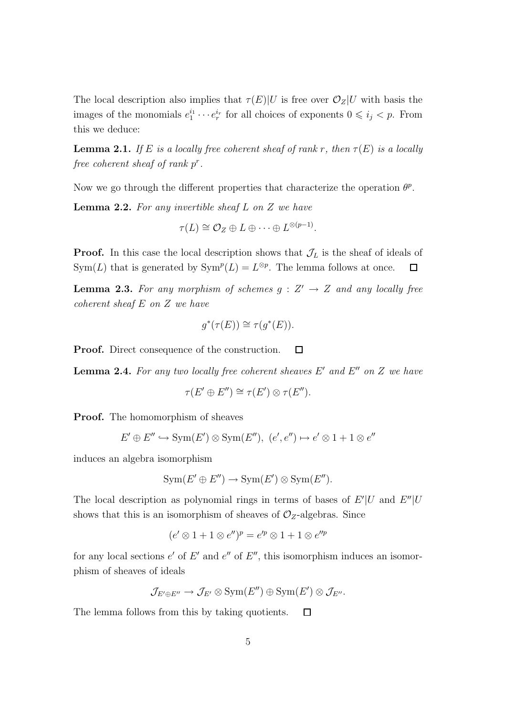The local description also implies that  $\tau(E)|U$  is free over  $\mathcal{O}_Z|U$  with basis the images of the monomials  $e_1^{i_1}$  $i_1^{i_1} \cdots e_r^{i_r}$  for all choices of exponents  $0 \leq i_j < p$ . From this we deduce:

**Lemma 2.1.** If E is a locally free coherent sheaf of rank r, then  $\tau(E)$  is a locally free coherent sheaf of rank  $p^r$ .

Now we go through the different properties that characterize the operation  $\theta^p$ .

**Lemma 2.2.** For any invertible sheaf L on Z we have

$$
\tau(L) \cong \mathcal{O}_Z \oplus L \oplus \cdots \oplus L^{\otimes (p-1)}
$$

.

**Proof.** In this case the local description shows that  $\mathcal{J}_L$  is the sheaf of ideals of Sym(L) that is generated by  $\text{Sym}^p(L) = L^{\otimes p}$ . The lemma follows at once.  $\Box$ 

**Lemma 2.3.** For any morphism of schemes  $g: Z' \rightarrow Z$  and any locally free coherent sheaf E on Z we have

$$
g^*(\tau(E)) \cong \tau(g^*(E)).
$$

Proof. Direct consequence of the construction.  $\Box$ 

**Lemma 2.4.** For any two locally free coherent sheaves  $E'$  and  $E''$  on  $Z$  we have

$$
\tau(E' \oplus E'') \cong \tau(E') \otimes \tau(E'').
$$

Proof. The homomorphism of sheaves

$$
E' \oplus E'' \hookrightarrow \text{Sym}(E') \otimes \text{Sym}(E''), (e', e'') \mapsto e' \otimes 1 + 1 \otimes e''
$$

induces an algebra isomorphism

$$
Sym(E' \oplus E'') \to Sym(E') \otimes Sym(E'').
$$

The local description as polynomial rings in terms of bases of  $E'|U$  and  $E''|U$ shows that this is an isomorphism of sheaves of  $\mathcal{O}_Z$ -algebras. Since

$$
(e' \otimes 1 + 1 \otimes e'')^{p} = e'^{p} \otimes 1 + 1 \otimes e''^{p}
$$

for any local sections  $e'$  of  $E'$  and  $e''$  of  $E''$ , this isomorphism induces an isomorphism of sheaves of ideals

$$
\mathcal{J}_{E'\oplus E''}\to \mathcal{J}_{E'}\otimes \text{Sym}(E'')\oplus \text{Sym}(E')\otimes \mathcal{J}_{E''}.
$$

The lemma follows from this by taking quotients.  $\Box$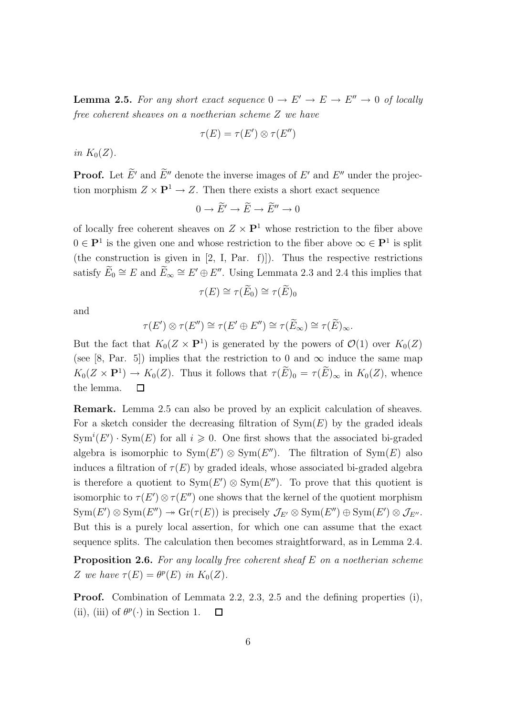**Lemma 2.5.** For any short exact sequence  $0 \to E' \to E \to E'' \to 0$  of locally free coherent sheaves on a noetherian scheme Z we have

$$
\tau(E) = \tau(E') \otimes \tau(E'')
$$

in  $K_0(Z)$ .

**Proof.** Let  $\widetilde{E}'$  and  $\widetilde{E}''$  denote the inverse images of  $E'$  and  $E''$  under the projection morphism  $Z \times \mathbf{P}^1 \to Z$ . Then there exists a short exact sequence

$$
0 \to \widetilde{E}' \to \widetilde{E} \to \widetilde{E}'' \to 0
$$

of locally free coherent sheaves on  $Z \times \mathbf{P}^1$  whose restriction to the fiber above  $0 \in \mathbf{P}^1$  is the given one and whose restriction to the fiber above  $\infty \in \mathbf{P}^1$  is split (the construction is given in  $[2, I, Par. f]$ ). Thus the respective restrictions satisfy  $\widetilde{E}_0 \cong E$  and  $\widetilde{E}_{\infty} \cong E' \oplus E''$ . Using Lemmata 2.3 and 2.4 this implies that

$$
\tau(E) \cong \tau(\widetilde{E}_0) \cong \tau(\widetilde{E})_0
$$

and

$$
\tau(E')\otimes \tau(E'')\cong \tau(E'\oplus E'')\cong \tau(\widetilde{E}_{\infty})\cong \tau(\widetilde{E})_{\infty}.
$$

But the fact that  $K_0(Z \times \mathbf{P}^1)$  is generated by the powers of  $\mathcal{O}(1)$  over  $K_0(Z)$ (see [8, Par. 5]) implies that the restriction to 0 and  $\infty$  induce the same map  $K_0(Z \times \mathbf{P}^1) \to K_0(Z)$ . Thus it follows that  $\tau(E)_0 = \tau(E)_{\infty}$  in  $K_0(Z)$ , whence the lemma.  $\Box$ 

Remark. Lemma 2.5 can also be proved by an explicit calculation of sheaves. For a sketch consider the decreasing filtration of  $Sym(E)$  by the graded ideals  $Sym<sup>i</sup>(E') \cdot Sym(E)$  for all  $i \geqslant 0$ . One first shows that the associated bi-graded algebra is isomorphic to  $Sym(E') \otimes Sym(E'')$ . The filtration of  $Sym(E)$  also induces a filtration of  $\tau(E)$  by graded ideals, whose associated bi-graded algebra is therefore a quotient to  $Sym(E') \otimes Sym(E'')$ . To prove that this quotient is isomorphic to  $\tau(E') \otimes \tau(E'')$  one shows that the kernel of the quotient morphism  $Sym(E') \otimes Sym(E'') \rightarrow Gr(\tau(E))$  is precisely  $\mathcal{J}_{E'} \otimes Sym(E'') \oplus Sym(E') \otimes \mathcal{J}_{E''}.$ But this is a purely local assertion, for which one can assume that the exact sequence splits. The calculation then becomes straightforward, as in Lemma 2.4. **Proposition 2.6.** For any locally free coherent sheaf  $E$  on a noetherian scheme

Z we have  $\tau(E) = \theta^p(E)$  in  $K_0(Z)$ .

Proof. Combination of Lemmata 2.2, 2.3, 2.5 and the defining properties (i), (ii), (iii) of  $\theta^p(\cdot)$  in Section 1.  $\Box$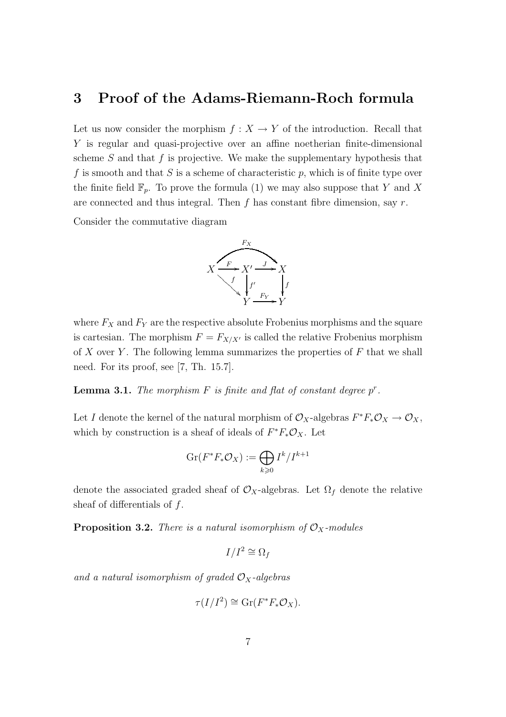## 3 Proof of the Adams-Riemann-Roch formula

Let us now consider the morphism  $f: X \to Y$  of the introduction. Recall that Y is regular and quasi-projective over an affine noetherian finite-dimensional scheme  $S$  and that  $f$  is projective. We make the supplementary hypothesis that f is smooth and that S is a scheme of characteristic p, which is of finite type over the finite field  $\mathbb{F}_p$ . To prove the formula (1) we may also suppose that Y and X are connected and thus integral. Then f has constant fibre dimension, say  $r$ .

Consider the commutative diagram



where  $F_X$  and  $F_Y$  are the respective absolute Frobenius morphisms and the square is cartesian. The morphism  $F = F_{X/X'}$  is called the relative Frobenius morphism of X over Y. The following lemma summarizes the properties of  $F$  that we shall need. For its proof, see [7, Th. 15.7].

**Lemma 3.1.** The morphism  $F$  is finite and flat of constant degree  $p^r$ .

Let I denote the kernel of the natural morphism of  $\mathcal{O}_X$ -algebras  $F^*F_*\mathcal{O}_X \to \mathcal{O}_X$ , which by construction is a sheaf of ideals of  $F^*F_*\mathcal{O}_X$ . Let

$$
\operatorname{Gr}(F^*F_*\mathcal{O}_X) := \bigoplus_{k \geqslant 0} I^k/I^{k+1}
$$

denote the associated graded sheaf of  $\mathcal{O}_X$ -algebras. Let  $\Omega_f$  denote the relative sheaf of differentials of  $f$ .

**Proposition 3.2.** There is a natural isomorphism of  $\mathcal{O}_X$ -modules

$$
I/I^2\cong \Omega_f
$$

and a natural isomorphism of graded  $\mathcal{O}_X$ -algebras

$$
\tau(I/I^2) \cong \mathrm{Gr}(F^*F_*\mathcal{O}_X).
$$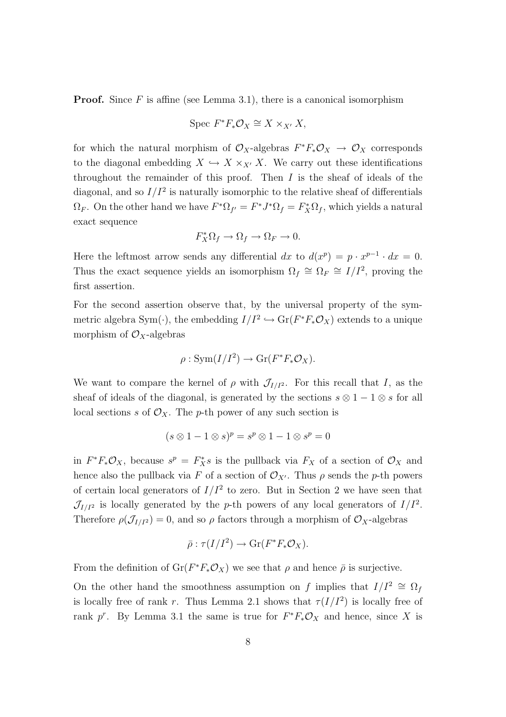**Proof.** Since  $F$  is affine (see Lemma 3.1), there is a canonical isomorphism

$$
Spec F^*F_*\mathcal{O}_X \cong X \times_{X'} X,
$$

for which the natural morphism of  $\mathcal{O}_X$ -algebras  $F^*F_*\mathcal{O}_X \to \mathcal{O}_X$  corresponds to the diagonal embedding  $X \hookrightarrow X \times_{X'} X$ . We carry out these identifications throughout the remainder of this proof. Then  $I$  is the sheaf of ideals of the diagonal, and so  $I/I^2$  is naturally isomorphic to the relative sheaf of differentials  $\Omega_F$ . On the other hand we have  $F^*\Omega_{f'} = F^*J^*\Omega_f = F_X^*\Omega_f$ , which yields a natural exact sequence

$$
F_X^*\Omega_f \to \Omega_f \to \Omega_F \to 0.
$$

Here the leftmost arrow sends any differential dx to  $d(x^p) = p \cdot x^{p-1} \cdot dx = 0$ . Thus the exact sequence yields an isomorphism  $\Omega_f \cong \Omega_F \cong I/I^2$ , proving the first assertion.

For the second assertion observe that, by the universal property of the symmetric algebra Sym( $\cdot$ ), the embedding  $I/I^2 \hookrightarrow Gr(F^*F_*\mathcal{O}_X)$  extends to a unique morphism of  $\mathcal{O}_X$ -algebras

$$
\rho: \operatorname{Sym}(I/I^2) \to \operatorname{Gr}(F^*F_*\mathcal{O}_X).
$$

We want to compare the kernel of  $\rho$  with  $\mathcal{J}_{I/I^2}$ . For this recall that I, as the sheaf of ideals of the diagonal, is generated by the sections  $s \otimes 1 - 1 \otimes s$  for all local sections s of  $\mathcal{O}_X$ . The p-th power of any such section is

$$
(s \otimes 1 - 1 \otimes s)^p = s^p \otimes 1 - 1 \otimes s^p = 0
$$

in  $F^*F_*\mathcal{O}_X$ , because  $s^p = F_X^*s$  is the pullback via  $F_X$  of a section of  $\mathcal{O}_X$  and hence also the pullback via F of a section of  $\mathcal{O}_{X'}$ . Thus  $\rho$  sends the p-th powers of certain local generators of  $I/I^2$  to zero. But in Section 2 we have seen that  $\mathcal{J}_{I/I^2}$  is locally generated by the p-th powers of any local generators of  $I/I^2$ . Therefore  $\rho(\mathcal{J}_{I/I^2}) = 0$ , and so  $\rho$  factors through a morphism of  $\mathcal{O}_X$ -algebras

$$
\bar{\rho}: \tau(I/I^2) \longrightarrow \mathrm{Gr}(F^*F_*\mathcal{O}_X).
$$

From the definition of  $\text{Gr}(F^*F_*\mathcal{O}_X)$  we see that  $\rho$  and hence  $\bar{\rho}$  is surjective.

On the other hand the smoothness assumption on f implies that  $I/I^2 \cong \Omega_f$ is locally free of rank r. Thus Lemma 2.1 shows that  $\tau(I/I^2)$  is locally free of rank p<sup>r</sup>. By Lemma 3.1 the same is true for  $F^*F_*\mathcal{O}_X$  and hence, since X is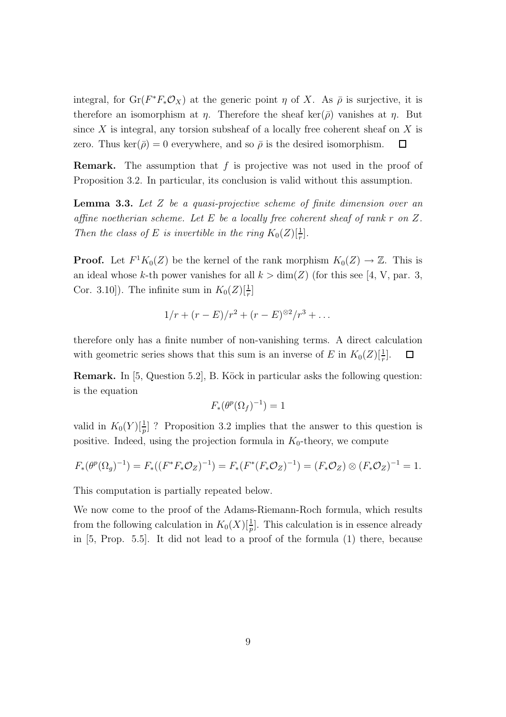integral, for  $Gr(F^*F_*\mathcal{O}_X)$  at the generic point  $\eta$  of X. As  $\overline{\rho}$  is surjective, it is therefore an isomorphism at  $\eta$ . Therefore the sheaf ker( $\bar{\rho}$ ) vanishes at  $\eta$ . But since X is integral, any torsion subsheaf of a locally free coherent sheaf on X is zero. Thus ker( $\bar{\rho}$ ) = 0 everywhere, and so  $\bar{\rho}$  is the desired isomorphism.  $\Box$ 

**Remark.** The assumption that  $f$  is projective was not used in the proof of Proposition 3.2. In particular, its conclusion is valid without this assumption.

**Lemma 3.3.** Let  $Z$  be a quasi-projective scheme of finite dimension over an affine noetherian scheme. Let E be a locally free coherent sheaf of rank r on Z. Then the class of E is invertible in the ring  $K_0(Z)[\frac{1}{r}]$ .

**Proof.** Let  $F^1 K_0(Z)$  be the kernel of the rank morphism  $K_0(Z) \to \mathbb{Z}$ . This is an ideal whose k-th power vanishes for all  $k > dim(Z)$  (for this see [4, V, par. 3, Cor. 3.10]). The infinite sum in  $K_0(Z)[\frac{1}{r}]$ 

$$
1/r + (r - E)/r^2 + (r - E)^{\otimes 2}/r^3 + \dots
$$

therefore only has a finite number of non-vanishing terms. A direct calculation with geometric series shows that this sum is an inverse of E in  $K_0(Z)[\frac{1}{r}]$ . Ш

Remark. In [5, Question 5.2], B. Köck in particular asks the following question: is the equation

$$
F_*(\theta^p(\Omega_f)^{-1}) = 1
$$

valid in  $K_0(Y)[\frac{1}{p}]$ ? Proposition 3.2 implies that the answer to this question is positive. Indeed, using the projection formula in  $K_0$ -theory, we compute

$$
F_*(\theta^p(\Omega_g)^{-1}) = F_*((F^*F_*\mathcal{O}_Z)^{-1}) = F_*(F^*(F_*\mathcal{O}_Z)^{-1}) = (F_*\mathcal{O}_Z) \otimes (F_*\mathcal{O}_Z)^{-1} = 1.
$$

This computation is partially repeated below.

We now come to the proof of the Adams-Riemann-Roch formula, which results from the following calculation in  $K_0(X)[\frac{1}{p}]$ . This calculation is in essence already in [5, Prop. 5.5]. It did not lead to a proof of the formula (1) there, because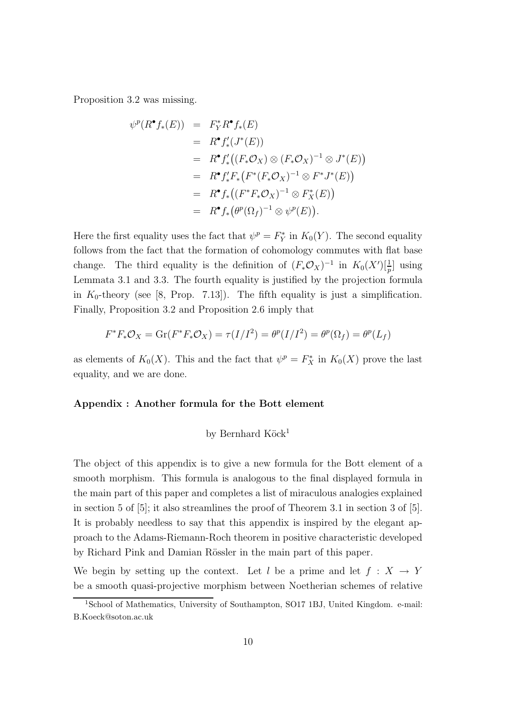Proposition 3.2 was missing.

$$
\psi^{p}(R^{\bullet}f_{*}(E)) = F_{Y}^{*}R^{\bullet}f_{*}(E)
$$
  
\n
$$
= R^{\bullet}f'_{*}(J^{*}(E))
$$
  
\n
$$
= R^{\bullet}f'_{*}((F_{*}\mathcal{O}_{X}) \otimes (F_{*}\mathcal{O}_{X})^{-1} \otimes J^{*}(E))
$$
  
\n
$$
= R^{\bullet}f'_{*}F_{*}(F^{*}(F_{*}\mathcal{O}_{X})^{-1} \otimes F^{*}J^{*}(E))
$$
  
\n
$$
= R^{\bullet}f_{*}((F^{*}F_{*}\mathcal{O}_{X})^{-1} \otimes F_{X}^{*}(E))
$$
  
\n
$$
= R^{\bullet}f_{*}(\theta^{p}(\Omega_{f})^{-1} \otimes \psi^{p}(E)).
$$

Here the first equality uses the fact that  $\psi^p = F_Y^*$  $Y<sup>*</sup>$  in  $K_0(Y)$ . The second equality follows from the fact that the formation of cohomology commutes with flat base change. The third equality is the definition of  $(F_*\mathcal{O}_X)^{-1}$  in  $K_0(X')[\frac{1}{p}]$  using Lemmata 3.1 and 3.3. The fourth equality is justified by the projection formula in  $K_0$ -theory (see [8, Prop. 7.13]). The fifth equality is just a simplification. Finally, Proposition 3.2 and Proposition 2.6 imply that

$$
F^*F_*\mathcal{O}_X = \text{Gr}(F^*F_*\mathcal{O}_X) = \tau(I/I^2) = \theta^p(I/I^2) = \theta^p(\Omega_f) = \theta^p(L_f)
$$

as elements of  $K_0(X)$ . This and the fact that  $\psi^p = F_X^*$  in  $K_0(X)$  prove the last equality, and we are done.

#### Appendix : Another formula for the Bott element

### by Bernhard Köck<sup>1</sup>

The object of this appendix is to give a new formula for the Bott element of a smooth morphism. This formula is analogous to the final displayed formula in the main part of this paper and completes a list of miraculous analogies explained in section 5 of [5]; it also streamlines the proof of Theorem 3.1 in section 3 of [5]. It is probably needless to say that this appendix is inspired by the elegant approach to the Adams-Riemann-Roch theorem in positive characteristic developed by Richard Pink and Damian Rössler in the main part of this paper.

We begin by setting up the context. Let l be a prime and let  $f : X \to Y$ be a smooth quasi-projective morphism between Noetherian schemes of relative

<sup>1</sup>School of Mathematics, University of Southampton, SO17 1BJ, United Kingdom. e-mail: B.Koeck@soton.ac.uk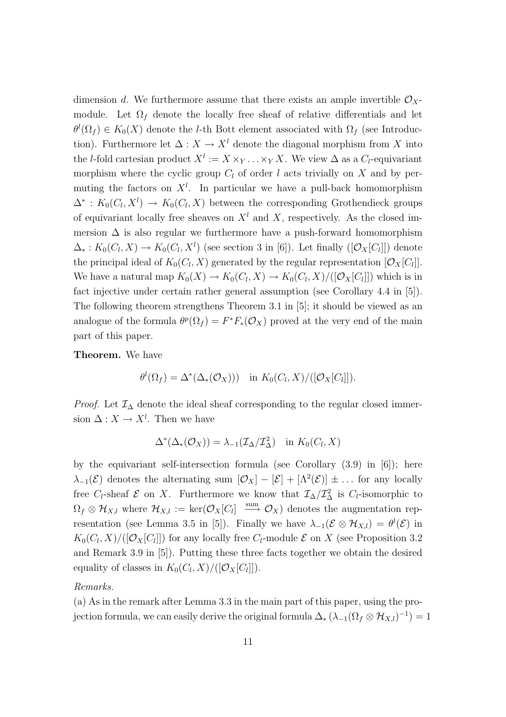dimension d. We furthermore assume that there exists an ample invertible  $\mathcal{O}_X$ module. Let  $\Omega_f$  denote the locally free sheaf of relative differentials and let  $\theta^l(\Omega_f) \in K_0(X)$  denote the *l*-th Bott element associated with  $\Omega_f$  (see Introduction). Furthermore let  $\Delta: X \to X^l$  denote the diagonal morphism from X into the *l*-fold cartesian product  $X^l := X \times_Y \dots \times_Y X$ . We view  $\Delta$  as a  $C_l$ -equivariant morphism where the cyclic group  $C_l$  of order l acts trivially on X and by permuting the factors on  $X^l$ . In particular we have a pull-back homomorphism  $\Delta^*$ :  $K_0(C_l, X^l) \to K_0(C_l, X)$  between the corresponding Grothendieck groups of equivariant locally free sheaves on  $X<sup>l</sup>$  and X, respectively. As the closed immersion  $\Delta$  is also regular we furthermore have a push-forward homomorphism  $\Delta_*: K_0(C_l, X) \to K_0(C_l, X^l)$  (see section 3 in [6]). Let finally  $([\mathcal{O}_X[C_l]])$  denote the principal ideal of  $K_0(C_l, X)$  generated by the regular representation  $[\mathcal{O}_X[C_l]]$ . We have a natural map  $K_0(X) \to K_0(C_l, X) \to K_0(C_l, X)/([\mathcal{O}_X[C_l]])$  which is in fact injective under certain rather general assumption (see Corollary 4.4 in [5]). The following theorem strengthens Theorem 3.1 in [5]; it should be viewed as an analogue of the formula  $\theta^p(\Omega_f) = F^*F_*(\mathcal{O}_X)$  proved at the very end of the main part of this paper.

Theorem. We have

$$
\theta^l(\Omega_f) = \Delta^*(\Delta_*(\mathcal{O}_X))) \quad \text{in } K_0(C_l, X)/([\mathcal{O}_X[C_l]]).
$$

*Proof.* Let  $\mathcal{I}_{\Delta}$  denote the ideal sheaf corresponding to the regular closed immersion  $\Delta: X \to X^l$ . Then we have

$$
\Delta^*(\Delta_*(\mathcal{O}_X)) = \lambda_{-1}(\mathcal{I}_{\Delta}/\mathcal{I}_{\Delta}^2) \quad \text{in } K_0(C_l, X)
$$

by the equivariant self-intersection formula (see Corollary  $(3.9)$  in  $[6]$ ); here  $\lambda_{-1}(\mathcal{E})$  denotes the alternating sum  $[\mathcal{O}_X] - [\mathcal{E}] + [\Lambda^2(\mathcal{E})] \pm \dots$  for any locally free  $C_l$ -sheaf  $\mathcal E$  on X. Furthermore we know that  $\mathcal I_\Delta/\mathcal I_\Delta^2$  is  $C_l$ -isomorphic to  $\Omega_f \otimes \mathcal{H}_{X,l}$  where  $\mathcal{H}_{X,l} := \text{ker}(\mathcal{O}_X[C_l]) \stackrel{\text{sum}}{\longrightarrow} \mathcal{O}_X$  denotes the augmentation representation (see Lemma 3.5 in [5]). Finally we have  $\lambda_{-1}(\mathcal{E} \otimes \mathcal{H}_{X,l}) = \theta^l(\mathcal{E})$  in  $K_0(C_l, X)/([O_X[C_l]])$  for any locally free  $C_l$ -module  $\mathcal E$  on  $X$  (see Proposition 3.2 and Remark 3.9 in [5]). Putting these three facts together we obtain the desired equality of classes in  $K_0(C_l, X)/([\mathcal{O}_X[C_l]])$ .

### Remarks.

(a) As in the remark after Lemma 3.3 in the main part of this paper, using the projection formula, we can easily derive the original formula  $\Delta_* (\lambda_{-1}(\Omega_f \otimes \mathcal{H}_{X,l})^{-1}) = 1$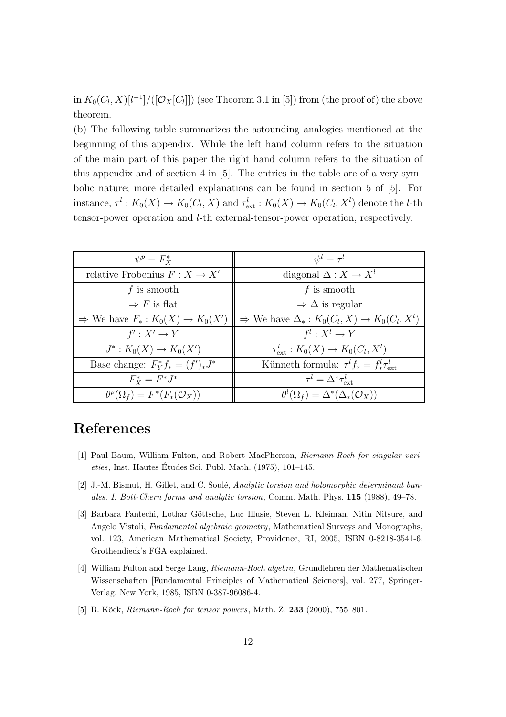in  $K_0(C_l, X)[l^{-1}]/([O_X[C_l]])$  (see Theorem 3.1 in [5]) from (the proof of) the above theorem.

(b) The following table summarizes the astounding analogies mentioned at the beginning of this appendix. While the left hand column refers to the situation of the main part of this paper the right hand column refers to the situation of this appendix and of section 4 in [5]. The entries in the table are of a very symbolic nature; more detailed explanations can be found in section 5 of [5]. For instance,  $\tau^l: K_0(X) \to K_0(C_l, X)$  and  $\tau_{ext}^l: K_0(X) \to K_0(C_l, X^l)$  denote the *l*-th tensor-power operation and l-th external-tensor-power operation, respectively.

| $\psi^p = F_X^*$                                | $\psi^l=\tau^l$                                                    |
|-------------------------------------------------|--------------------------------------------------------------------|
| relative Frobenius $F: X \to X'$                | diagonal $\Delta: X \to X^l$                                       |
| f is smooth                                     | f is smooth                                                        |
| $\Rightarrow$ F is flat                         | $\Rightarrow \Delta$ is regular                                    |
| $\Rightarrow$ We have $F_*: K_0(X) \to K_0(X')$ | $\Rightarrow$ We have $\Delta_* : K_0(C_l, X) \to K_0(C_l, X^l)$   |
| $f': X' \to Y$                                  | $f^l: X^l \to Y$                                                   |
| $J^*: K_0(X) \to K_0(X')$                       | $\tau_{\text{ext}}^l : K_0(X) \to K_0(C_l, X^l)$                   |
| Base change: $F_Y^* f_* = (f')_* J^*$           | Künneth formula: $\tau^{l} f_{*} = f_{*}^{l} \tau_{\text{av}}^{l}$ |
| $F_{Y}^{*}=F^{*}J^{*}$                          | $\tau^l = \Delta^* \tau_{\text{ext}}^l$                            |
| $\theta^p(\Omega_f) = F^*(F_*(\mathcal{O}_X))$  | $\theta^l(\Omega_f) = \Delta^*(\Delta_*(\mathcal{O}_X))$           |

## References

- [1] Paul Baum, William Fulton, and Robert MacPherson, Riemann-Roch for singular vari $eties$ , Inst. Hautes Études Sci. Publ. Math.  $(1975)$ , 101–145.
- [2] J.-M. Bismut, H. Gillet, and C. Soulé, Analytic torsion and holomorphic determinant bundles. I. Bott-Chern forms and analytic torsion, Comm. Math. Phys. 115 (1988), 49–78.
- [3] Barbara Fantechi, Lothar Göttsche, Luc Illusie, Steven L. Kleiman, Nitin Nitsure, and Angelo Vistoli, Fundamental algebraic geometry, Mathematical Surveys and Monographs, vol. 123, American Mathematical Society, Providence, RI, 2005, ISBN 0-8218-3541-6, Grothendieck's FGA explained.
- [4] William Fulton and Serge Lang, Riemann-Roch algebra, Grundlehren der Mathematischen Wissenschaften [Fundamental Principles of Mathematical Sciences], vol. 277, Springer-Verlag, New York, 1985, ISBN 0-387-96086-4.
- [5] B. Köck, *Riemann-Roch for tensor powers*, Math. Z. 233 (2000), 755–801.